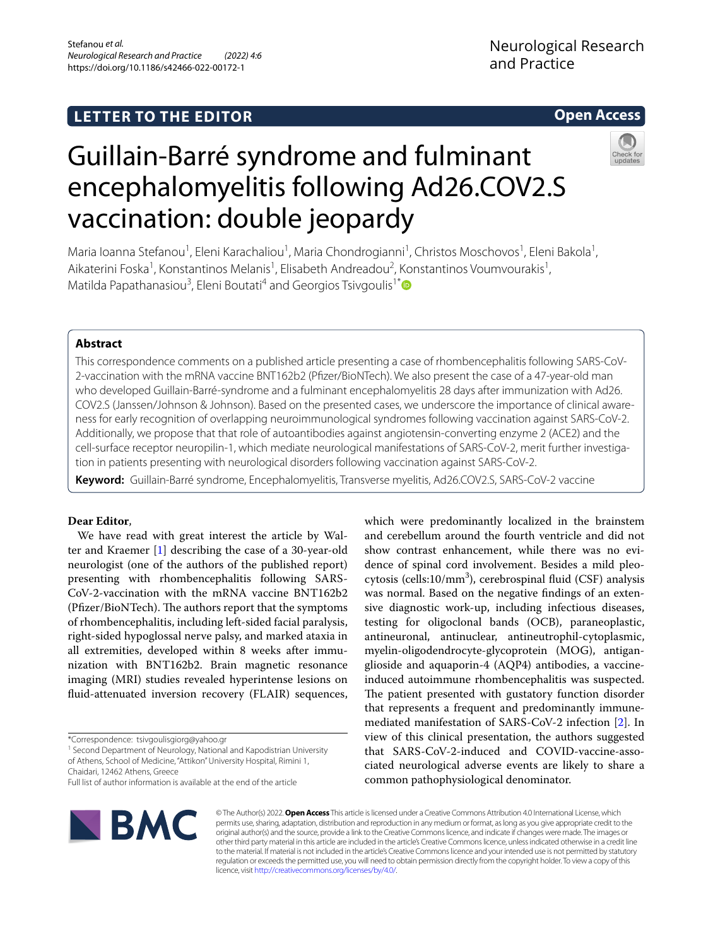# **LETTER TO THE EDITOR**

# **Open Access**

# Guillain-Barré syndrome and fulminant encephalomyelitis following Ad26.COV2.S vaccination: double jeopardy

Maria Ioanna Stefanou<sup>1</sup>, Eleni Karachaliou<sup>1</sup>, Maria Chondrogianni<sup>1</sup>, Christos Moschovos<sup>1</sup>, Eleni Bakola<sup>1</sup>, Aikaterini Foska<sup>1</sup>, Konstantinos Melanis<sup>1</sup>, Elisabeth Andreadou<sup>2</sup>, Konstantinos Voumvourakis<sup>1</sup>, Matilda Papathanasiou<sup>3</sup>, Eleni Boutati<sup>4</sup> and Georgios Tsivgoulis<sup>1[\\*](http://orcid.org/0000-0002-0640-3797)</sup>

## **Abstract**

This correspondence comments on a published article presenting a case of rhombencephalitis following SARS-CoV-2-vaccination with the mRNA vaccine BNT162b2 (Pfzer/BioNTech). We also present the case of a 47-year-old man who developed Guillain-Barré-syndrome and a fulminant encephalomyelitis 28 days after immunization with Ad26. COV2.S (Janssen/Johnson & Johnson). Based on the presented cases, we underscore the importance of clinical awareness for early recognition of overlapping neuroimmunological syndromes following vaccination against SARS-CoV-2. Additionally, we propose that that role of autoantibodies against angiotensin-converting enzyme 2 (ACE2) and the cell-surface receptor neuropilin-1, which mediate neurological manifestations of SARS-CoV-2, merit further investigation in patients presenting with neurological disorders following vaccination against SARS-CoV-2.

**Keyword:** Guillain-Barré syndrome, Encephalomyelitis, Transverse myelitis, Ad26.COV2.S, SARS-CoV-2 vaccine

### **Dear Editor**,

We have read with great interest the article by Walter and Kraemer [\[1](#page-3-0)] describing the case of a 30-year-old neurologist (one of the authors of the published report) presenting with rhombencephalitis following SARS-CoV-2-vaccination with the mRNA vaccine BNT162b2 (Pfizer/BioNTech). The authors report that the symptoms of rhombencephalitis, including left-sided facial paralysis, right-sided hypoglossal nerve palsy, and marked ataxia in all extremities, developed within 8 weeks after immunization with BNT162b2. Brain magnetic resonance imaging (MRI) studies revealed hyperintense lesions on fuid-attenuated inversion recovery (FLAIR) sequences,

\*Correspondence: tsivgoulisgiorg@yahoo.gr

<sup>1</sup> Second Department of Neurology, National and Kapodistrian University of Athens, School of Medicine, "Attikon" University Hospital, Rimini 1, Chaidari, 12462 Athens, Greece

which were predominantly localized in the brainstem and cerebellum around the fourth ventricle and did not show contrast enhancement, while there was no evidence of spinal cord involvement. Besides a mild pleocytosis (cells: $10/mm<sup>3</sup>$ ), cerebrospinal fluid (CSF) analysis was normal. Based on the negative fndings of an extensive diagnostic work-up, including infectious diseases, testing for oligoclonal bands (OCB), paraneoplastic, antineuronal, antinuclear, antineutrophil-cytoplasmic, myelin-oligodendrocyte-glycoprotein (MOG), antiganglioside and aquaporin-4 (AQP4) antibodies, a vaccineinduced autoimmune rhombencephalitis was suspected. The patient presented with gustatory function disorder that represents a frequent and predominantly immunemediated manifestation of SARS-CoV-2 infection [\[2](#page-3-1)]. In view of this clinical presentation, the authors suggested that SARS-CoV-2-induced and COVID-vaccine-associated neurological adverse events are likely to share a common pathophysiological denominator.



© The Author(s) 2022. **Open Access** This article is licensed under a Creative Commons Attribution 4.0 International License, which permits use, sharing, adaptation, distribution and reproduction in any medium or format, as long as you give appropriate credit to the original author(s) and the source, provide a link to the Creative Commons licence, and indicate if changes were made. The images or other third party material in this article are included in the article's Creative Commons licence, unless indicated otherwise in a credit line to the material. If material is not included in the article's Creative Commons licence and your intended use is not permitted by statutory regulation or exceeds the permitted use, you will need to obtain permission directly from the copyright holder. To view a copy of this licence, visit [http://creativecommons.org/licenses/by/4.0/.](http://creativecommons.org/licenses/by/4.0/)

Full list of author information is available at the end of the article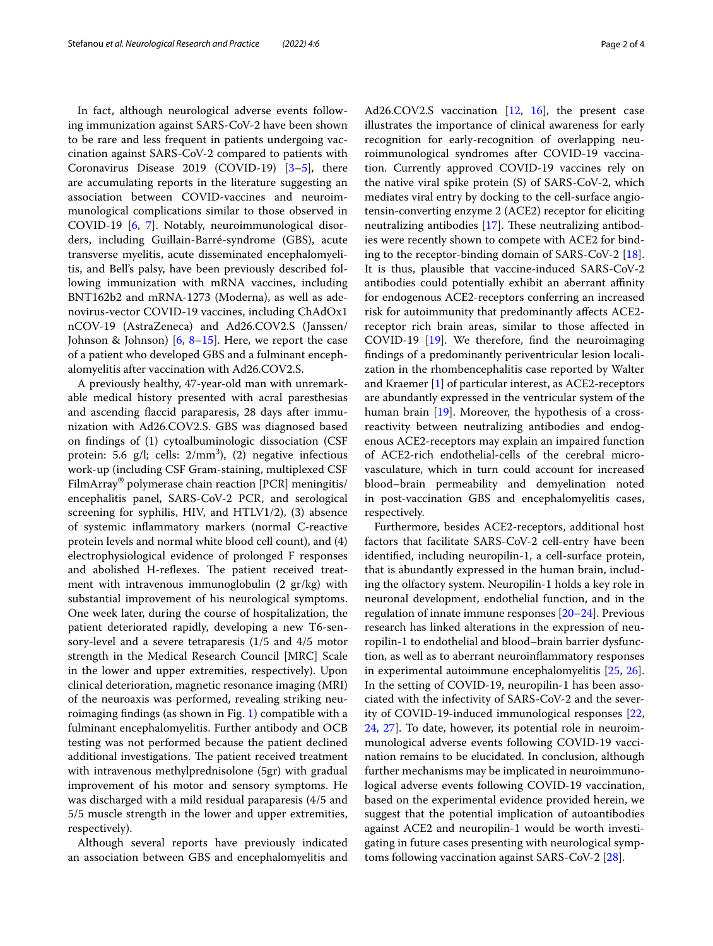In fact, although neurological adverse events following immunization against SARS-CoV-2 have been shown to be rare and less frequent in patients undergoing vaccination against SARS-CoV-2 compared to patients with Coronavirus Disease 2019 (COVID-19) [\[3](#page-3-2)[–5\]](#page-3-3), there are accumulating reports in the literature suggesting an association between COVID-vaccines and neuroimmunological complications similar to those observed in COVID-19 [[6,](#page-3-4) [7\]](#page-3-5). Notably, neuroimmunological disorders, including Guillain-Barré-syndrome (GBS), acute transverse myelitis, acute disseminated encephalomyelitis, and Bell's palsy, have been previously described following immunization with mRNA vaccines, including BNT162b2 and mRNA-1273 (Moderna), as well as adenovirus-vector COVID-19 vaccines, including ChAdOx1 nCOV-19 (AstraZeneca) and Ad26.COV2.S (Janssen/ Johnson & Johnson) [\[6](#page-3-4), [8–](#page-3-6)[15](#page-3-7)]. Here, we report the case of a patient who developed GBS and a fulminant encephalomyelitis after vaccination with Ad26.COV2.S.

A previously healthy, 47-year-old man with unremarkable medical history presented with acral paresthesias and ascending faccid paraparesis, 28 days after immunization with Ad26.COV2.S. GBS was diagnosed based on fndings of (1) cytoalbuminologic dissociation (CSF protein: 5.6  $g/l$ ; cells:  $2/mm^3$ ), (2) negative infectious work-up (including CSF Gram-staining, multiplexed CSF FilmArray® polymerase chain reaction [PCR] meningitis/ encephalitis panel, SARS-CoV-2 PCR, and serological screening for syphilis, HIV, and HTLV1/2), (3) absence of systemic infammatory markers (normal C-reactive protein levels and normal white blood cell count), and (4) electrophysiological evidence of prolonged F responses and abolished H-reflexes. The patient received treatment with intravenous immunoglobulin (2 gr/kg) with substantial improvement of his neurological symptoms. One week later, during the course of hospitalization, the patient deteriorated rapidly, developing a new T6-sensory-level and a severe tetraparesis (1/5 and 4/5 motor strength in the Medical Research Council [MRC] Scale in the lower and upper extremities, respectively). Upon clinical deterioration, magnetic resonance imaging (MRI) of the neuroaxis was performed, revealing striking neuroimaging fndings (as shown in Fig. [1\)](#page-2-0) compatible with a fulminant encephalomyelitis. Further antibody and OCB testing was not performed because the patient declined additional investigations. The patient received treatment with intravenous methylprednisolone (5gr) with gradual improvement of his motor and sensory symptoms. He was discharged with a mild residual paraparesis (4/5 and 5/5 muscle strength in the lower and upper extremities, respectively).

Although several reports have previously indicated an association between GBS and encephalomyelitis and Ad26.COV2.S vaccination [\[12,](#page-3-8) [16](#page-3-9)], the present case illustrates the importance of clinical awareness for early recognition for early-recognition of overlapping neuroimmunological syndromes after COVID-19 vaccination. Currently approved COVID-19 vaccines rely on the native viral spike protein (S) of SARS-CoV-2, which mediates viral entry by docking to the cell-surface angiotensin-converting enzyme 2 (ACE2) receptor for eliciting neutralizing antibodies  $[17]$  $[17]$ . These neutralizing antibodies were recently shown to compete with ACE2 for binding to the receptor-binding domain of SARS-CoV-2 [\[18](#page-3-11)]. It is thus, plausible that vaccine-induced SARS-CoV-2 antibodies could potentially exhibit an aberrant affinity for endogenous ACE2-receptors conferring an increased risk for autoimmunity that predominantly afects ACE2 receptor rich brain areas, similar to those afected in COVID-19 [\[19](#page-3-12)]. We therefore, fnd the neuroimaging fndings of a predominantly periventricular lesion localization in the rhombencephalitis case reported by Walter and Kraemer [\[1](#page-3-0)] of particular interest, as ACE2-receptors are abundantly expressed in the ventricular system of the human brain [\[19](#page-3-12)]. Moreover, the hypothesis of a crossreactivity between neutralizing antibodies and endogenous ACE2-receptors may explain an impaired function of ACE2-rich endothelial-cells of the cerebral microvasculature, which in turn could account for increased blood–brain permeability and demyelination noted in post-vaccination GBS and encephalomyelitis cases, respectively.

Furthermore, besides ACE2-receptors, additional host factors that facilitate SARS-CoV-2 cell-entry have been identifed, including neuropilin-1, a cell-surface protein, that is abundantly expressed in the human brain, including the olfactory system. Neuropilin-1 holds a key role in neuronal development, endothelial function, and in the regulation of innate immune responses [[20–](#page-3-13)[24](#page-3-14)]. Previous research has linked alterations in the expression of neuropilin-1 to endothelial and blood–brain barrier dysfunction, as well as to aberrant neuroinfammatory responses in experimental autoimmune encephalomyelitis [\[25,](#page-3-15) [26](#page-3-16)]. In the setting of COVID-19, neuropilin-1 has been associated with the infectivity of SARS-CoV-2 and the severity of COVID-19-induced immunological responses [[22](#page-3-17), [24,](#page-3-14) [27](#page-3-18)]. To date, however, its potential role in neuroimmunological adverse events following COVID-19 vaccination remains to be elucidated. In conclusion, although further mechanisms may be implicated in neuroimmunological adverse events following COVID-19 vaccination, based on the experimental evidence provided herein, we suggest that the potential implication of autoantibodies against ACE2 and neuropilin-1 would be worth investigating in future cases presenting with neurological symptoms following vaccination against SARS-CoV-2 [[28\]](#page-3-19).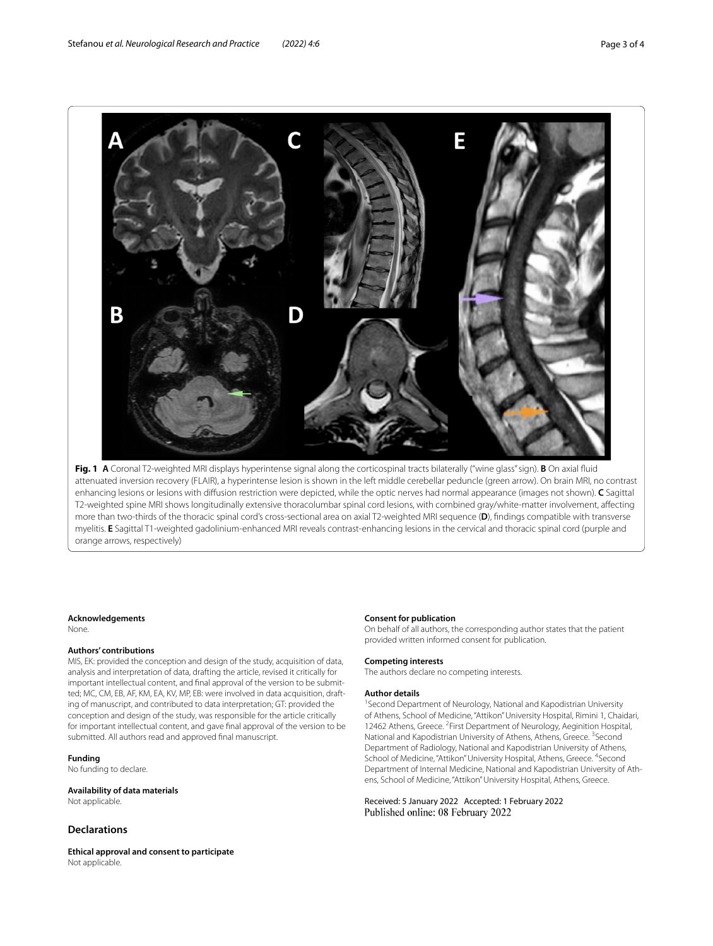

<span id="page-2-0"></span>**Fig. 1 A** Coronal T2-weighted MRI displays hyperintense signal along the corticospinal tracts bilaterally ("wine glass" sign). **B** On axial fuid attenuated inversion recovery (FLAIR), a hyperintense lesion is shown in the left middle cerebellar peduncle (green arrow). On brain MRI, no contrast enhancing lesions or lesions with difusion restriction were depicted, while the optic nerves had normal appearance (images not shown). **C** Sagittal T2-weighted spine MRI shows longitudinally extensive thoracolumbar spinal cord lesions, with combined gray/white-matter involvement, afecting more than two-thirds of the thoracic spinal cord's cross-sectional area on axial T2-weighted MRI sequence (**D**), fndings compatible with transverse myelitis. **E** Sagittal T1-weighted gadolinium-enhanced MRI reveals contrast-enhancing lesions in the cervical and thoracic spinal cord (purple and orange arrows, respectively)

#### **Acknowledgements**

None.

#### **Authors' contributions**

MIS, EK: provided the conception and design of the study, acquisition of data, analysis and interpretation of data, drafting the article, revised it critically for important intellectual content, and fnal approval of the version to be submitted; MC, CM, EB, AF, KM, EA, KV, MP, EB: were involved in data acquisition, drafting of manuscript, and contributed to data interpretation; GT: provided the conception and design of the study, was responsible for the article critically for important intellectual content, and gave fnal approval of the version to be submitted. All authors read and approved fnal manuscript.

**Funding** No funding to declare.

**Availability of data materials** Not applicable.

#### **Declarations**

**Ethical approval and consent to participate** Not applicable.

#### **Consent for publication**

On behalf of all authors, the corresponding author states that the patient provided written informed consent for publication.

#### **Competing interests**

The authors declare no competing interests.

#### **Author details**

<sup>1</sup> Second Department of Neurology, National and Kapodistrian University of Athens, School of Medicine, "Attikon" University Hospital, Rimini 1, Chaidari, 12462 Athens, Greece. <sup>2</sup> First Department of Neurology, Aeginition Hospital, National and Kapodistrian University of Athens, Athens, Greece. <sup>3</sup> Second Department of Radiology, National and Kapodistrian University of Athens, School of Medicine, "Attikon" University Hospital, Athens, Greece. <sup>4</sup> Second Department of Internal Medicine, National and Kapodistrian University of Athens, School of Medicine, "Attikon" University Hospital, Athens, Greece.

Received: 5 January 2022 Accepted: 1 February 2022 Published online: 08 February 2022